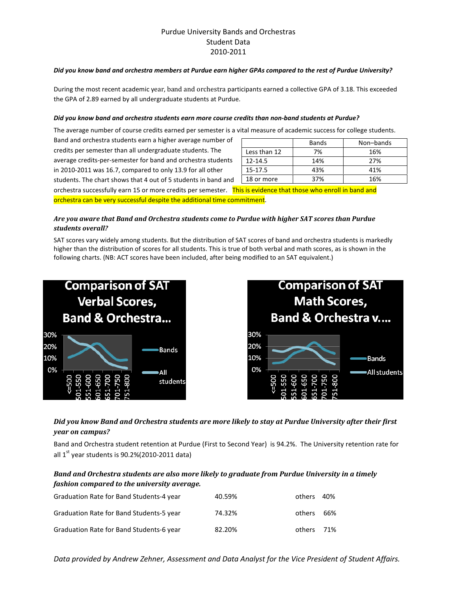## Purdue University Bands and Orchestras Student Data 2010-2011

#### Did you know band and orchestra members at Purdue earn higher GPAs compared to the rest of Purdue University?

During the most recent academic year, band and orchestra participants earned a collective GPA of 3.18. This exceeded the GPA of 2.89 earned by all undergraduate students at Purdue.

#### Did you know band and orchestra students earn more course credits than non-band students at Purdue?

The average number of course credits earned per semester is a vital measure of academic success for college students.

Band and orchestra students earn a higher average number of credits per semester than all undergraduate students. The average credits-per-semester for band and orchestra students in 2010-2011 was 16.7, compared to only 13.9 for all other students. The chart shows that 4 out of 5 students in band and

|              | <b>Bands</b> | Non-bands |  |
|--------------|--------------|-----------|--|
| Less than 12 | 7%           | 16%       |  |
| $12 - 14.5$  | 14%          | 27%       |  |
| 15-17.5      | 43%          | 41%       |  |
| 18 or more   | 37%          | 16%       |  |

orchestra successfully earn 15 or more credits per semester. This is evidence that those who enroll in band and orchestra can be very successful despite the additional time commitment.

#### Are you aware that Band and Orchestra students come to Purdue with higher SAT scores than Purdue students overall?

SAT scores vary widely among students. But the distribution of SAT scores of band and orchestra students is markedly higher than the distribution of scores for all students. This is true of both verbal and math scores, as is shown in the following charts. (NB: ACT scores have been included, after being modified to an SAT equivalent.)





### Did you know Band and Orchestra students are more likely to stay at Purdue University after their first year on campus?

Band and Orchestra student retention at Purdue (First to Second Year) is 94.2%. The University retention rate for all  $1^{st}$  year students is 90.2%(2010-2011 data)

### Band and Orchestra students are also more likely to graduate from Purdue University in a timely fashion compared to the university average.

| Graduation Rate for Band Students-4 year | 40.59% | others | 40%  |
|------------------------------------------|--------|--------|------|
| Graduation Rate for Band Students-5 year | 74.32% | others | 66%  |
| Graduation Rate for Band Students-6 year | 82.20% | others | -71% |

Data provided by Andrew Zehner, Assessment and Data Analyst for the Vice President of Student Affairs.